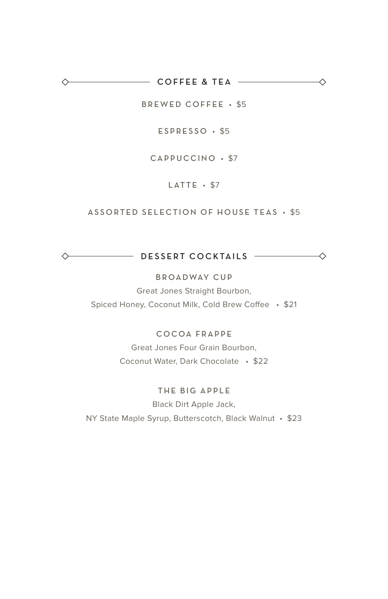$\overline{\phantom{a}}$  COFFEE & TEA  $\overline{\phantom{a}}$ ◇

BREWED COFFEE • \$5

◇

 $\leftarrow$ 

ESPRESSO • \$5

CAPPUCCINO • \$7

LATTE · \$7

#### ASSORTED SELECTION OF HOUSE TEAS • \$5

DESSERT COCKTAILS  $\leftrightarrow$ 

#### BROADWAY CUP

Great Jones Straight Bourbon, Spiced Honey, Coconut Milk, Cold Brew Coffee • \$21

### COCOA FRAPPE

Great Jones Four Grain Bourbon, Coconut Water, Dark Chocolate • \$22

### THE BIG APPLE

Black Dirt Apple Jack, NY State Maple Syrup, Butterscotch, Black Walnut • \$23